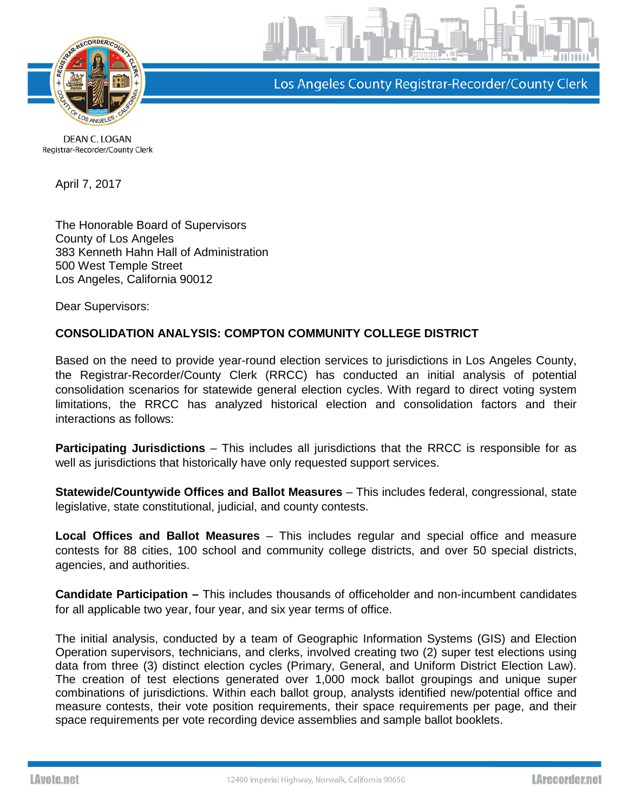

Los Angeles County Registrar-Recorder/County Clerk

DEAN C. LOGAN Registrar-Recorder/County Clerk

April 7, 2017

The Honorable Board of Supervisors County of Los Angeles 383 Kenneth Hahn Hall of Administration 500 West Temple Street Los Angeles, California 90012

Dear Supervisors:

## **CONSOLIDATION ANALYSIS: COMPTON COMMUNITY COLLEGE DISTRICT**

Based on the need to provide year-round election services to jurisdictions in Los Angeles County, the Registrar-Recorder/County Clerk (RRCC) has conducted an initial analysis of potential consolidation scenarios for statewide general election cycles. With regard to direct voting system limitations, the RRCC has analyzed historical election and consolidation factors and their interactions as follows:

**Participating Jurisdictions** – This includes all jurisdictions that the RRCC is responsible for as well as jurisdictions that historically have only requested support services.

**Statewide/Countywide Offices and Ballot Measures** – This includes federal, congressional, state legislative, state constitutional, judicial, and county contests.

**Local Offices and Ballot Measures** – This includes regular and special office and measure contests for 88 cities, 100 school and community college districts, and over 50 special districts, agencies, and authorities.

**Candidate Participation –** This includes thousands of officeholder and non-incumbent candidates for all applicable two year, four year, and six year terms of office.

The initial analysis, conducted by a team of Geographic Information Systems (GIS) and Election Operation supervisors, technicians, and clerks, involved creating two (2) super test elections using data from three (3) distinct election cycles (Primary, General, and Uniform District Election Law). The creation of test elections generated over 1,000 mock ballot groupings and unique super combinations of jurisdictions. Within each ballot group, analysts identified new/potential office and measure contests, their vote position requirements, their space requirements per page, and their space requirements per vote recording device assemblies and sample ballot booklets.